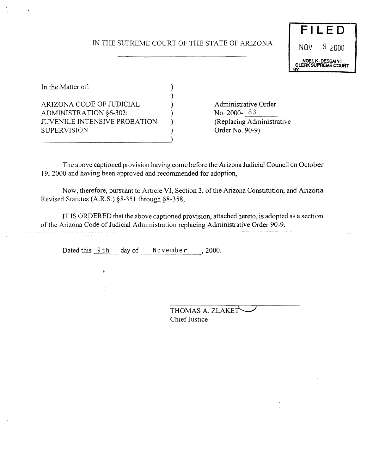# IN THE SUPREME COURT OF THE STATE OF ARIZONA

)



In the Matter of:  $\qquad \qquad$  ) ARIZONA CODE OF JUDICIAL (and a contract of a contract a contract a contract a contract of a contract of a contract of  $\sim$  No. 2000-83 ADMINISTRATION §6-302: JUVENILE INTENSIVE PROBATION ) (Replacing Administrative SUPERVISION ) Order No. 90-9)

The above captioned provision having come before the Arizona Judicial Council on October 19, 2000 and having been approved and recommended for adoption,

Now, therefore, pursuant to Article VI, Section 3, of the Arizona Constitution, and Arizona Revised Statutes (A.R.S.) *§8-351* through §8-358,

IT IS ORDERED that the above captioned provision, attached hereto, is adopted as a section of the Arizona Code of Judicial Administration replacing Administrative Order 90-9.

Dated this 9th day of November, 2000.

THOMAS A. ZLAKET Chief Justice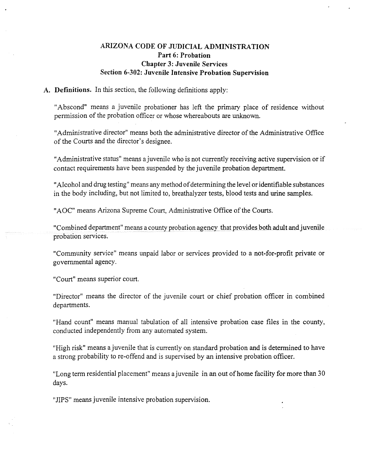# ARIZONA **CODE OF JUDICIAL ADMINISTRATION** Part **6: Probation Chapter3: Juvenile Services Section 6-302: Juvenile Intensive Probation Supervision**

## **A. Definitions.** In this section, the following definitions apply:

"Abscond" means a juvenile probationer has left the primary place of residence without permission of the probation officer or whose whereabouts are unknown.

"Administrative director" means both the administrative director of the Administrative Office of the Courts and the director's designee.

"Administrative status" means a juvenile who is not currently receiving active supervision or if contact requirements have been suspended by the juvenile probation department.

"Alcohol and drugtesting" means any method of determining the level or identifiable substances in the body including, but not limited to, breathalyzer tests, blood tests and urine samples.

"AOC" means Arizona Supreme Court, Administrative Office of the Courts.

"Combined department" means a county probation agency that provides both adult and juvenile probation services.

"Community service" means unpaid labor or services provided to a not-for-profit private or governmental agency.

"Court" means superior court.

"Director" means the director of the juvenile court or chief probation officer in combined departments.

"Hand count" means manual tabulation of all intensive probation case files in the county, conducted independently from any automated system.

"High risk" means a juvenile that is currently on standard probation and is determined to have a strong probability to re-offend and is supervised by an intensive probation officer.

"Long term residential placement" means a juvenile in an out of home facility for more than 30 days.

"JIPS" means juvenile intensive probation supervision.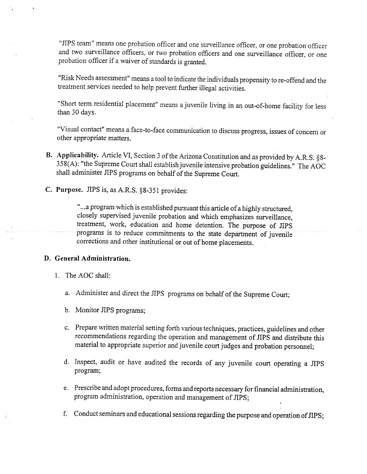"JIPS team" means one probation officer and one surveillance officer, or one probation officer and two surveillance officers, or two probation officers and one surveillance officer, or one probation officer if a waiver of standards is granted.

"Risk Needs assessment" means a tool to indicate the individuals propensity to re-offend and the treatment services needed to help prevent further illegal activities.

"Short term residential placement" means a juvenile living in an out-of-home facility for less than 30 days.

"Visual contact" means a face-to-face communication to discuss progress, issues of concern or other appropriate matters.

- B. Applicability. Article VI, Section 3 of the Arizona Constitution and as provided by A.R.S. §8-358(A): "the Supreme Court shall establish juvenile intensive probation guidelines." The AOC shall administer JIPS programs on behalf of the Supreme Court.
- **C. Purpose.** JIPS is, as A.R.S. §8-351 provides:

"...a program which is established pursuant this article of a highly structured, closely supervised juvenile probation and which emphasizes surveillance, treatment, work, education and home detention. The purpose of JIPS programs is to reduce commitments to the state department of juvenile corrections and other institutional or out of home placements.

### D. General Administration.

- 1. The AOC shall:
	- a. Administer and direct the JIPS programs on behalf of the Supreme Court;
	- b. Monitor JIPS programs;
	- c. Prepare written material setting forth various techniques, practices, guidelines and other recommendations regarding the operation and management of JIPS and distribute this material to appropriate superior and juvenile court judges and probation personnel;
	- d. Inspect, audit or have audited the records of any juvenile court operating a SIPS program;
	- e. Prescribe and adopt procedures, forms and reports necessary for financial administration, program administration, operation and management of JIPS;
	- f. Conduct seminars and educational sessions regarding the purpose and operation of  $JIPS$ ;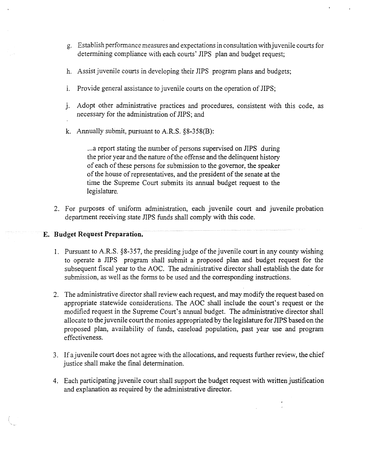- g. Establish performance measures and expectations in consultation with juvenile courts for determining compliance with each courts' JIPS plan and budget request;
- h. Assist juvenile courts in developing their JIPS program plans and budgets;
- i. Provide general assistance to juvenile courts on the operation of JIPS;
- j. Adopt other administrative practices and procedures, consistent with this code, as necessary for the administration of JIPS; and
- k. Annually submit, pursuant to A.R.S. *§8-358(B):*

...a report stating the number of persons supervised on JIPS during the prior year and the nature of the offense and the delinquent history of each of these persons for submission to the governor, the speaker of the house of representatives, and the president of the senate at the time the Supreme Court submits its annual budget request to the legislature.

2. For purposes of uniform administration, each juvenile court and juvenile probation department receiving state JIPS funds shall comply with this code.

## E. **Budget Request Preparation.**

- 1. Pursuant to A.R.S. §8-357, the presiding judge of the juvenile court in any county wishing to operate a SIPS program shall submit a proposed plan and budget request for the subsequent fiscal year to the AOC. The administrative director shall establish the date for submission, as well as the forms to be used and the corresponding instructions.
- 2. The administrative director shall review each request, and may modify the request based on appropriate statewide considerations. The AOC shall include the court's request or the modified request in the Supreme Court's annual budget. The administrative director shall allocate to the juvenile court the monies appropriated by the legislature for JIPS based on the proposed plan, availability of funds, caseload population, past year use and program effectiveness.
- 3. Ifajuvenile court does not agree with the allocations, and requests further review, the chief justice shall make the final determination.
- 4. Each participating juvenile court shall support the budget request with written justification and explanation as required by the administrative director.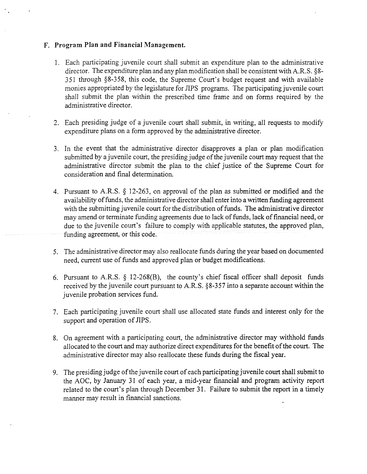### **F. Program Plan and Financial Management.**

- 1. Each participating juvenile court shall submit an expenditure plan to the administrative director. The expenditure plan and any plan modification shall be consistent with A.R.S.  $\S8$ -351 through *§8-358,* this code, the Supreme Court's budget request and with available monies appropriated by the legislature for JIPS programs. The participating juvenile court shall submit the plan within the prescribed time frame and on forms required by the administrative director.
- 2. Each presiding judge of a juvenile court shall submit, in writing, all requests to modify expenditure plans on a form approved by the administrative director.
- 3. In the event that the administrative director disapproves a plan or plan modification submitted by a juvenile court, the presiding judge of the juvenile court may request that the administrative director submit the plan to the chief justice of the Supreme Court for consideration and final determination.
- 4. Pursuant to A.R.S. § 12-263, on approval of the plan as submitted or modified and the availability of funds, the administrative director shall enter into a written funding agreement with the submitting juvenile court for the distribution of funds. The administrative director may amend or terminate funding agreements due to lack of funds, lack of financial need, or due to the juvenile court's failure to comply with applicable statutes, the approved plan, funding agreement, or this code.
- *5.* The administrative director may also reallocate funds during the year based on documented need, current use of funds and approved plan or budget modifications.
- 6. Pursuant to A.R.S.  $\S$  12-268(B), the county's chief fiscal officer shall deposit funds received by the juvenile court pursuant to A.R.S. §8-357 into a separate account within the juvenile probation services fund.
- 7. Each participating juvenile court shall use allocated state funds and interest only for the support and operation of JIPS.
- 8. On agreement with a participating court, the administrative director may withhold funds allocated to the court and may authorize direct expenditures forthe benefit ofthe court. The administrative director may also reallocate these funds during the fiscal year.
- 9. The presiding judge of the juvenile court of each participating juvenile court shall submit to the AOC, by January 31 of each year, a mid-year financial and program activity report related to the court's plan through December 31. Failure to submit the report in a timely manner may result in financial sanctions.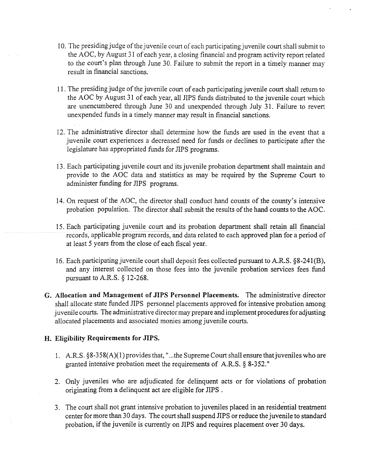- 10. The presiding judge of the juvenile court of each participating juvenile court shall submit to the AOC, by August <sup>31</sup> ofeach year, <sup>a</sup> closing financial and program activity report related to the court's plan through June 30. Failure to submit the report in a timely manner may result in financial sanctions.
- 11. The presiding judge of the juvenile court of each participating juvenile court shall return to the AOC by August 31 of each year, all JIPS funds distributed to the juvenile court which are unencumbered through June 30 and unexpended through July 31. Failure to revert unexpended funds in a timely manner may result in financial sanctions.
- 12. The administrative director shall determine how the funds are used in the event that a juvenile court experiences a decreased need for funds or declines to participate after the legislature has appropriated funds for JIPS programs.
- 13. Each participating juvenile court and its juvenile probation department shall maintain and provide to the AOC data and statistics as may be required by the Supreme Court to administer funding for JIPS programs.
- 14. On request of the AOC, the director shall conduct hand counts of the county's intensive probation population. The director shall submit the results of the hand counts to the AOC.
- 15. Each participating juvenile court and its probation department shall retain all financial records, applicable program records, and data related to each approved plan for a period of at least *<sup>5</sup>* years from the close of each fiscal year.
- 16. Each participating juvenile court shall deposit fees collected pursuant to A.R.S. §8-241(B), and any interest collected on those fees into the juvenile probation services fees fund pursuant to A.R.S. § 12-268.
- **G. Allocation and Management of JIPS Personnel Placements.** The administrative director shall allocate state funded JIPS personnel placements approved for intensive probation among juvenile courts. The administrative director may prepare and implement procedures for adjusting allocated placements and associated monies among juvenile courts.

# **H. Eligibility Requirements for** JIPS.

- 1. A.R.S. § 8-358(A)(1) provides that, "...the Supreme Court shall ensure that juveniles who are granted intensive probation meet the requirements of A.R.S. § 8-352."
- 2. Only juveniles who are adjudicated for delinquent acts or for violations of probation originating from a delinquent act are eligible for JIPS.
- 3. The court shall not grant intensive probation to juveniles placed in an residential treatment center for more than 30 days. The court shall suspend JIPS or reduce the juvenile to standard probation, if the juvenile is currently on JIPS and requires placement over 30 days.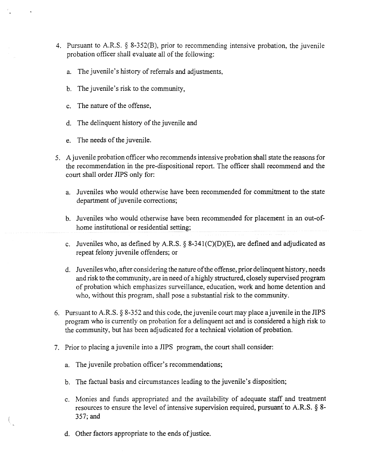- 4. Pursuant to A.R.S. § 8-352(B), prior to recommending intensive probation, the juvenile probation officer shall evaluate all of the following:
	- a. The juvenile's history of referrals and adjustments,
	- b. The juvenile's risk to the community,
	- c. The nature of the offense,
	- d. The delinquent history of the juvenile and
	- e. The needs of the juvenile.
- 5. A juvenile probation officer who recommends intensive probation shall state the reasons for the recommendation in the pre-dispositional report. The officer shall recommend and the court shall order JIPS only for:
	- a. Juveniles who would otherwise have been recommended for commitment to the state department of juvenile corrections;
	- b. Juveniles who would otherwise have been recommended for placement in an out-ofhome institutional or residential setting;
	- c. Juveniles who, as defined by A.R.S. § 8-341(C)(D)(E), are defined and adjudicated as repeat felony juvenile offenders; or
	- d. Juveniles who, after considering the nature of the offense, prior delinquent history, needs and riskto the community, are in needofa highly structured, closely supervised program of probation which emphasizes surveillance, education, work and home detention and who, without this program, shall pose a substantial risk to the community.
- 6. Pursuant to A.R.S.  $\S$  8-352 and this code, the juvenile court may place a juvenile in the JIPS program who is currently on probation for a delinquent act and is considered a high risk to the community, but has been adjudicated for a technical violation of probation.
- 7. Prior to placing ajuvenile into a JIPS program, the court shall consider:
	- a. The juvenile probation officer's recommendations;
	- b. The factual basis and circumstances leading to the juvenile's disposition;
	- c. Monies and funds appropriated and the availability of adequate staff and treatment resources to ensure the level of intensive supervision required, pursuant to A.R.S. § 8-357; and
	- d. Other factors appropriate to the ends of justice.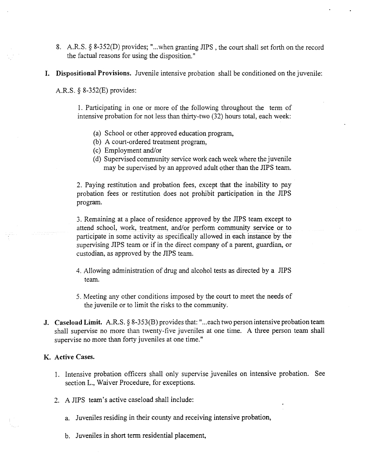- 8. A.R.S. § 8-352(D) provides; "...when granting JIPS , the court shall set forth on the record the factual reasons for using the disposition."
- I. Dispositional Provisions. Juvenile intensive probation shall be conditioned on thejuvenile:

A.R.S. § 8-352(E) provides:

1. Participating in one or more of the following throughout the term of intensive probation for not less than thirty-two (32) hours total, each week:

- (a) School or other approved education program,
- (b) A court-ordered treatment program,
- (c) Employment and/or
- (d) Supervised community service work each week where the juvenile may be supervised by an approved adult other than the JIPS team.

2. Paying restitution and probation fees, except that the inability to pay probation fees or restitution does not prohibit participation in the JIPS program.

3. Remaining at a place of residence approved by the JIPS team except to attend school, work, treatment, and/or perform community service or to participate in some activity as specifically allowed in each instance by the supervising JIPS team or if in the direct company of a parent, guardian, or custodian, as approved by the JIPS team.

- 4. Allowing administration of drug and alcohol tests as directed by a JIPS team.
- *5.* Meeting any other conditions imposed by the court to meet the needs of the juvenile or to limit the risks to the community.
- **J. Caseload Limit.** A.R.S. § 8-353(B) provides that: "...each two person intensive probation team shall supervise no more than twenty-five juveniles at one time. A three person team shall supervise no more than forty juveniles at one time."

# **K. Active Cases.**

- 1. Intensive probation officers shall only supervise juveniles on intensive probation. See section L., Waiver Procedure, for exceptions.
- 2. A JIPS team's active caseload shall include:
	- a. Juveniles residing in their county and receiving intensive probation,
	- b. Juveniles in short term residential placement,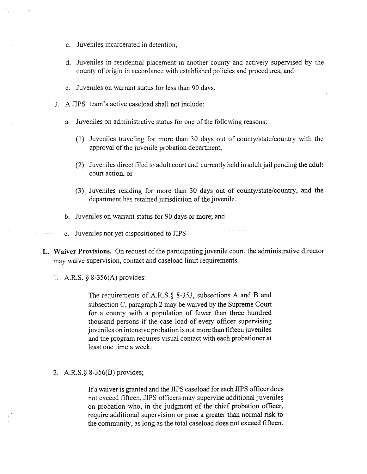- c. Juveniles incarcerated in detention,
- d. Juveniles in residential placement in another county and actively supervised by the county of origin in accordance with established policies and procedures, and
- e. Juveniles on warrant status forless than 90 days.
- 3. A JIPS team's active caseload shall not include:
	- a. Juveniles on administrative status for one of the following reasons:
		- (I) Juveniles traveling for more than 30 days out of county/state/country with the approval of the juvenile probation department,
		- (2) Juveniles direct filed to adult court and currently held in adult jail pending the adult court action, or
		- (3) Juveniles residing for more than 30 days out of county/state/country, and the department has retained jurisdiction of the juvenile.
	- b. Juveniles on warrant status for 90 days or more; and
	- c. Juveniles not yet dispositioned to JIPS.
- L. Waiver Provisions. On request of the participating juvenile court, the administrative director may waive supervision, contact and caseload limit requirements.
	- 1. A.R.S. § 8-356(A) provides:

The requirements of A.R.S. $\S$  8-353, subsections A and B and subsection C, paragraph 2 may be waived by the Supreme Court for a county with a population of fewer than three hundred thousand persons if the case load of every officer supervising juveniles on intensive probation is not more than fifteen juveniles and the program requires visual contact with each probationer at least one time a week.

#### 2. A.R.S.~*8-356(B)* provides;

If a waiver is granted and the JIPS caseload for each JIPS officer does not exceed fifteen, JIPS officers may supervise additional juveniles on probation who, in the judgment of the chief probation officer, require additional supervision or pose a greater than normal risk to the community, as long as the total caseload does not exceed fifteen.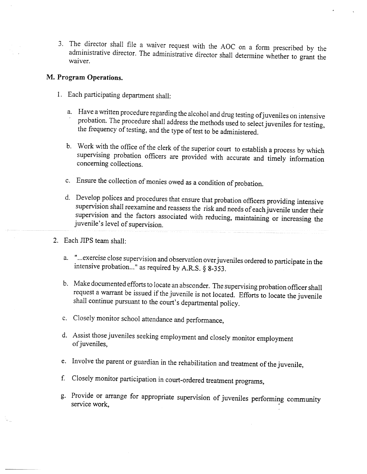3. The director shall file a waiver request with the AOC on a form prescribed by the administrative director. The administrative director shall determine whether to grant the waiver.

# **M. Program Operations.**

- 1. Each participating department shall:
	- a. Have a written procedure regarding the alcohol and drug testing of juveniles on intensive probation. The procedure shall address the methods used to select juveniles for testing, the frequency of testing, and the type of test to be administered.
	- b. Work with the office of the clerk of the superior court to establish a process by which supervising probation officers are provided with accurate and timely information concerning collections.
	- c. Ensure the collection of monies owed as a condition of probation.
	- d. Develop polices and procedures that ensure that probation officers providing intensive supervision shall reexamine and reassess the risk and needs of each juvenile under their supervision and the factors associated with reducing, maintaining or increasing the juvenile's level of supervision.
- 2. Each JIPS team shall:
	- a. "...exercise close supervision and observation over juveniles ordered to participate in the intensive probation..." as required by A.R.S. § 8-353.
	- b. Make documented efforts to locate an absconder. The supervising probation officer shall request a warrant be issued if the juvenile is not located. Efforts to locate the juvenile shall continue pursuant to the court's departmental policy.
	- c. Closely monitor school attendance and performance,
	- d. Assist those juveniles seeking employment and closely monitor employment of juveniles,
	- e. Involve the parent or guardian in the rehabilitation and treatment of the juvenile,
	- f. Closely monitor participation in court-ordered treatment programs,
	- g. Provide or arrange for appropriate supervision of juveniles performing community service work,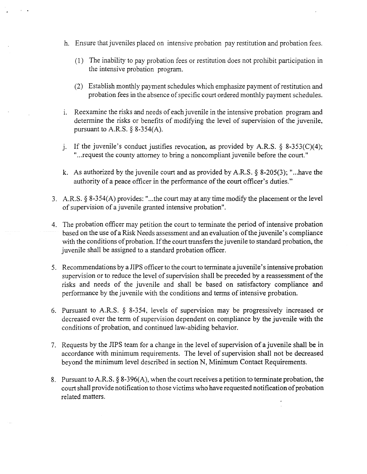- h. Ensure that juveniles placed on intensive probation pay restitution and probation fees.
	- (1) The inability to pay probation fees or restitution does not prohibit participation in the intensive probation program.
	- (2) Establish monthly payment schedules which emphasize payment of restitution and probation fees in the absence of specific court ordered monthly payment schedules.
- i. Reexamine the risks and needs of each juvenile in the intensive probation program and determine the risks or benefits of modifying the level of supervision of the juvenile, pursuant to A.R.S.  $\S$  8-354(A).
- j. If the juvenile's conduct justifies revocation, as provided by A.R.S.  $\S$  8-353(C)(4); ",..request the county attorney to bring a noncompliant juvenile before the court."
- k. As authorized by the juvenile court and as provided by A.R.S. § 8-205(3); "...have the authority of a peace officer in the performance of the court officer's duties."
- 3. A.R.S. § 8-354(A) provides: "...the court may at any time modifythe placement orthe level of supervision of a juvenile granted intensive probation".
- 4. The probation officer may petition the court to terminate the period ofintensive probation based on the use of a Risk Needs assessment and an evaluation of the juvenile's compliance with the conditions of probation. If the court transfers the juvenile to standard probation, the juvenile shall be assigned to a standard probation officer.
- 5. Recommendations by a JIPS officer to the court to terminate a juvenile's intensive probation supervision or to reduce the level of supervision shall be preceded by a reassessment of the risks and needs of the juvenile and shall be based on satisfactory compliance and performance by the juvenile with the conditions and terms of intensive probation.
- 6. Pursuant to A.R.S. § 8-3*54,* levels of supervision may be progressively increased or decreased over the term of supervision dependent on compliance by the juvenile with the conditions of probation, and continued law-abiding behavior.
- 7. Requests by the JIPS team for a change in the level of supervision of a juvenile shall be in accordance with minimum requirements. The level of supervision shall not be decreased beyond the minimum level described in section N, Minimum Contact Requirements.
- 8. Pursuant to A.R.S.  $\S$  8-396(A), when the court receives a petition to terminate probation, the court shall provide notification to those victims who have requested notification of probation related matters.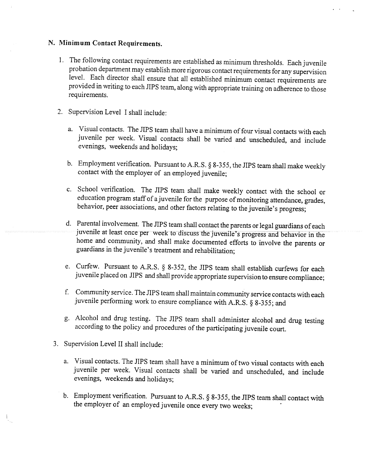# **N. Minimum Contact Requirements.**

- 1. The following contact requirements are established as minimum thresholds. Each juvenile probation department may establish more rigorous contact requirements for any supervision level. Each director shall ensure that all established minimum contact requirements are provided in writing to each JIPS team, along with appropriate training on adherence to those requirements.
- 2. Supervision Level I shall include:
	- a. Visual contacts. The JIPS team shall have a minimum of four visual contacts with each juvenile per week. Visual contacts shall be varied and unscheduled, and include evenings, weekends and holidays;
	- b. Employment verification. Pursuant to A.R.S. § *8-355,* the JIPS team shall make weekly contact with the employer of an employed juvenile;
	- c. School verification. The JIPS team shall make weekly contact with the school or education program staffof a juvenile for the purpose of monitoring attendance, grades, behavior, peer associations, and other factors relating to the juvenile's progress;
	- d. Parental involvement. The JIPS team shall contact the parents or legal guardians of each juvenile at least once per week to discuss the juvenile's progress and behavior in the home and community, and shall make documented efforts to involve the parents or guardians in the juvenile's treatment and rehabilitation;
	- e. Curfew. Pursuant to A.R.S. § 8-352, the JIPS team shall establish curfews for each juvenile placed on JIPS and shall provide appropriate supervision to ensure compliance;
	- f. Community service. The JIPS team shall maintain community service contacts with each juvenile performing work to ensure compliance with A.R.S. § **8-355;** and
	- g. Alcohol and drug testing. The JIPS team shall administer alcohol and drug testing according to the policy and procedures of the participating juvenile court.
- 3. Supervision Level II shall include:

 $\frac{1}{2}$ 

- a. Visual contacts. The JIPS team shall have a minimum of two visual contacts with each juvenile per week. Visual contacts shall be varied and unscheduled, and include evenings, weekends and holidays;
- b. Employment verification. Pursuant to A.R.S. § 8-355, the JIPS team shall contact with the employer of an employed juvenile once every two weeks;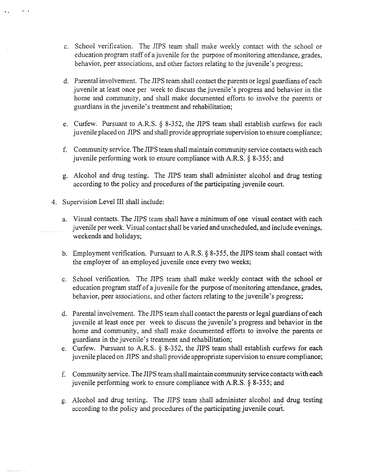- c. School verification. The JIPS team shall make weekly contact with the school or education program staff of a juvenile for the purpose of monitoring attendance, grades, behavior, peer associations, and other factors relating to the juvenile's progress;
- d. Parental involvement. The JIPS team shall contact the parents or legal guardians ofeach juvenile at least once per week to discuss the juvenile's progress and behavior in the home and community, and shall make documented efforts to involve the parents or guardians in the juvenile's treatment and rehabilitation;
- e. Curfew. Pursuant to A.R.S.  $\S$  8-352, the JIPS team shall establish curfews for each juvenile placed on JIPS and shall provide appropriate supervision to ensure compliance;
- f. Community service. The JIPS team shall maintain community service contacts with each juvenile performing work to ensure compliance with A.R.S. § 8-3*55;* and
- g. Alcohol and drug testing. The SIPS team shall administer alcohol and drug testing according to the policy and procedures of the participating juvenile court.
- 4. Supervision Level III shall include:
	- a. Visual contacts. The JIPS team shall have a minimum ofone visual contact with each juvenile per week. Visual contact shall be varied and unscheduled, and include evenings, weekends and holidays;
	- b. Employment verification. Pursuant to A.R.S.  $\S$  8-355, the JIPS team shall contact with the employer of an employed juvenile once every two weeks;
	- c. School verification. The JIPS team shall make weekly contact with the school or education program staff of a juvenile for the purpose of monitoring attendance, grades, behavior, peer associations, and other factors relating to the juvenile's progress;
	- d. Parental involvement. The JIPS team shall contact the parents or legal guardians of each juvenile at least once per week to discuss the juvenile's progress and behavior in the home and community, and shall make documented efforts to involve the parents or guardians in the juvenile's treatment and rehabilitation;
	- e. Curfew. Pursuant to A.R.S. § 8-352, the JIPS team shall establish curfews for each juvenile placed on JIPS and shall provide appropriate supervision to ensure compliance;
	- f. Community service. The JIPS team shallmaintain communityservice contacts with each juvenile performing work to ensure compliance with A.R.S. § *8-355;* and
	- g. Alcohol and drug testing. The JIPS team shall administer alcohol and drug testing according to the policy and procedures of the participating juvenile court.